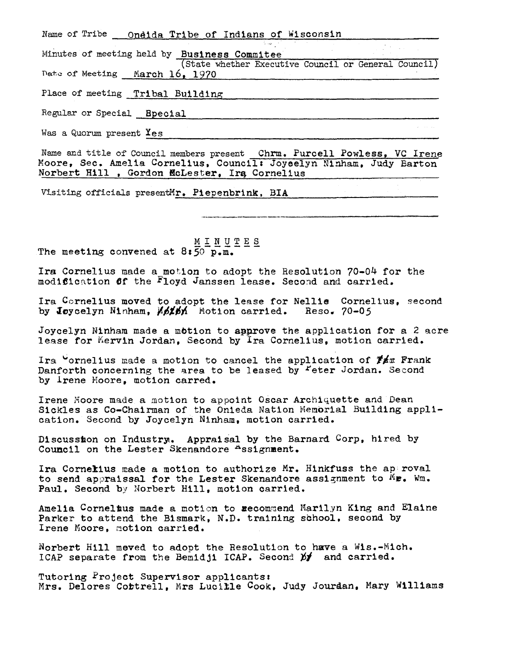| Name of Tribe __ Oneida Tribe of Indians of Wisconsin                                  |
|----------------------------------------------------------------------------------------|
| Minutes of meeting held by Business Commitee                                           |
| (State whether Executive Council or General Council)<br>Date of Meeting March 16, 1970 |
| Place of meeting Tribal Building                                                       |
| Regular or Special Bpecial                                                             |
| Was a Quorum present Yes                                                               |

Name and title of Council members present Chrm. Purcell Powless, VC Irene Moore, Sec. Amelia Cornelius, Council: Joyeelyn Ninham, Judy Barton Norbert Hill , Gordon McLester, Irg Cornelius

--~------~---------------

Visiting officials presentMr. Piepenbrink, BIA

MINUTES The meeting convened at  $8:\overline{50}^{\overline{\phantom{1}}}\overline{p}\cdot\overline{m}\cdot\overline{n}$ .

Ira Cornelius made a motion to adopt the Resolution 70-04 for the modification of the Floyd Janssen lease. Second and carried.

Ira Cornelius moved to adopt the lease for Nellie Cornelius, second by Joycelyn Ninham,  $M_2M_1$  Motion carried. Reso. 70-05

Joycelyn Ninham made a motion to approve the application for a 2 acre lease for Mervin Jordan, Second by Ira Cornelius, motion carried.

Ira  $\sim$ ornelius made a motion to cancel the application of  $\mathbb{F}$  for Frank Danforth concerning the area to be leased by Feter Jordan. Second by lrene Hoore, motion carred.

Irene Moore made a motion to appoint Oscar Archiquette and Dean Sickles as Co-Chairman of the Onieda Nation Nemorial Building application. Second by Joycelyn Ninham, motion carried.

Discussion on Industry. Appraisal by the Barnard Corp, hired by Council on the Lester Skenandore Assignment.

Ira Cornelius made a motion to authorize Mr. Hinkfuss the approval to send appraissal for the Lester Skenandore assignment to  $^{\tilde{M}}$ **P.** Wm. Paul. Second by Norbert Hill, motion carried.

Amelia Cornelius made a motion to recommend Marilyn King and Elaine Parker to attend the Bismark, N.D. training school, second by Irene Moore, motion carried.

Norbert Hill meved to adoot the Resolution to have a Wis.-Mich. ICAP separate from the Bemidji ICAP. Second  $p'$  and carried.

Tutoring Project Supervisor applicants: Mrs. Delores Cottrell, Mrs Lucille Cook, Judy Jourdan, Mary Williams